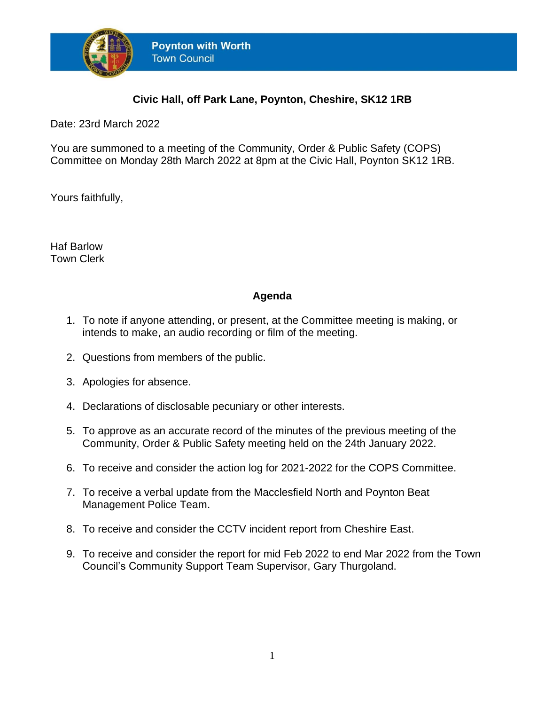

## **Civic Hall, off Park Lane, Poynton, Cheshire, SK12 1RB**

Date: 23rd March 2022

You are summoned to a meeting of the Community, Order & Public Safety (COPS) Committee on Monday 28th March 2022 at 8pm at the Civic Hall, Poynton SK12 1RB.

Yours faithfully,

Haf Barlow Town Clerk

## **Agenda**

- 1. To note if anyone attending, or present, at the Committee meeting is making, or intends to make, an audio recording or film of the meeting.
- 2. Questions from members of the public.
- 3. Apologies for absence.
- 4. Declarations of disclosable pecuniary or other interests.
- 5. To approve as an accurate record of the minutes of the previous meeting of the Community, Order & Public Safety meeting held on the 24th January 2022.
- 6. To receive and consider the action log for 2021-2022 for the COPS Committee.
- 7. To receive a verbal update from the Macclesfield North and Poynton Beat Management Police Team.
- 8. To receive and consider the CCTV incident report from Cheshire East.
- 9. To receive and consider the report for mid Feb 2022 to end Mar 2022 from the Town Council's Community Support Team Supervisor, Gary Thurgoland.